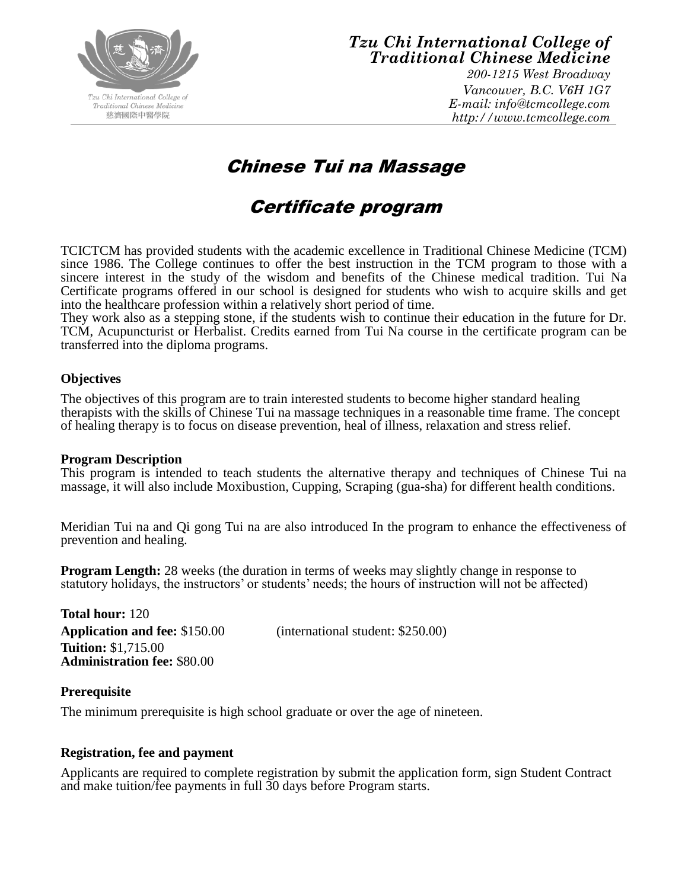

### *Tzu Chi International College of Traditional Chinese Medicine*

*200-1215 West Broadway Vancouver, B.C. V6H 1G7 E-mail: info@tcmcollege.com http://www.tcmcollege.com*

## Chinese Tui na Massage

# Certificate program

TCICTCM has provided students with the academic excellence in Traditional Chinese Medicine (TCM) since 1986. The College continues to offer the best instruction in the TCM program to those with a sincere interest in the study of the wisdom and benefits of the Chinese medical tradition. Tui Na Certificate programs offered in our school is designed for students who wish to acquire skills and get into the healthcare profession within a relatively short period of time.

They work also as a stepping stone, if the students wish to continue their education in the future for Dr. TCM, Acupuncturist or Herbalist. Credits earned from Tui Na course in the certificate program can be transferred into the diploma programs.

#### **Objectives**

The objectives of this program are to train interested students to become higher standard healing therapists with the skills of Chinese Tui na massage techniques in a reasonable time frame. The concept of healing therapy is to focus on disease prevention, heal of illness, relaxation and stress relief.

#### **Program Description**

This program is intended to teach students the alternative therapy and techniques of Chinese Tui na massage, it will also include Moxibustion, Cupping, Scraping (gua-sha) for different health conditions.

Meridian Tui na and Qi gong Tui na are also introduced In the program to enhance the effectiveness of prevention and healing.

**Program Length:** 28 weeks (the duration in terms of weeks may slightly change in response to statutory holidays, the instructors' or students' needs; the hours of instruction will not be affected)

**Total hour:** 120 **Application and fee:** \$150.00 (international student: \$250.00) **Tuition:** \$1,715.00 **Administration fee:** \$80.00

#### **Prerequisite**

The minimum prerequisite is high school graduate or over the age of nineteen.

#### **Registration, fee and payment**

Applicants are required to complete registration by submit the application form, sign Student Contract and make tuition/fee payments in full 30 days before Program starts.